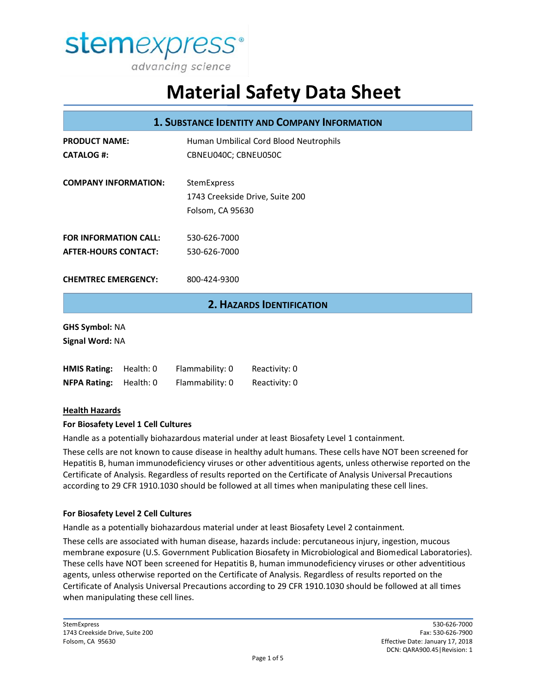

|                                          |           |                                        | <b>1. SUBSTANCE IDENTITY AND COMPANY INFORMATION</b> |  |
|------------------------------------------|-----------|----------------------------------------|------------------------------------------------------|--|
| <b>PRODUCT NAME:</b>                     |           | Human Umbilical Cord Blood Neutrophils |                                                      |  |
| <b>CATALOG #:</b>                        |           | CBNEU040C; CBNEU050C                   |                                                      |  |
| <b>COMPANY INFORMATION:</b>              |           | StemExpress                            |                                                      |  |
|                                          |           | 1743 Creekside Drive, Suite 200        |                                                      |  |
|                                          |           |                                        | Folsom, CA 95630                                     |  |
| <b>FOR INFORMATION CALL:</b>             |           | 530-626-7000                           |                                                      |  |
| <b>AFTER-HOURS CONTACT:</b>              |           | 530-626-7000                           |                                                      |  |
| <b>CHEMTREC EMERGENCY:</b>               |           | 800-424-9300                           |                                                      |  |
|                                          |           |                                        | <b>2. HAZARDS IDENTIFICATION</b>                     |  |
| <b>GHS Symbol: NA</b><br>Signal Word: NA |           |                                        |                                                      |  |
| <b>HMIS Rating:</b>                      | Health: 0 | Flammability: 0                        | Reactivity: 0                                        |  |
| <b>NFPA Rating:</b>                      | Health: 0 | Flammability: 0                        | Reactivity: 0                                        |  |
| <b>Health Hazards</b>                    |           |                                        |                                                      |  |

### **For Biosafety Level 1 Cell Cultures**

Handle as a potentially biohazardous material under at least Biosafety Level 1 containment.

These cells are not known to cause disease in healthy adult humans. These cells have NOT been screened for Hepatitis B, human immunodeficiency viruses or other adventitious agents, unless otherwise reported on the Certificate of Analysis. Regardless of results reported on the Certificate of Analysis Universal Precautions according to 29 CFR 1910.1030 should be followed at all times when manipulating these cell lines.

#### **For Biosafety Level 2 Cell Cultures**

Handle as a potentially biohazardous material under at least Biosafety Level 2 containment.

These cells are associated with human disease, hazards include: percutaneous injury, ingestion, mucous membrane exposure (U.S. Government Publication Biosafety in Microbiological and Biomedical Laboratories). These cells have NOT been screened for Hepatitis B, human immunodeficiency viruses or other adventitious agents, unless otherwise reported on the Certificate of Analysis. Regardless of results reported on the Certificate of Analysis Universal Precautions according to 29 CFR 1910.1030 should be followed at all times when manipulating these cell lines.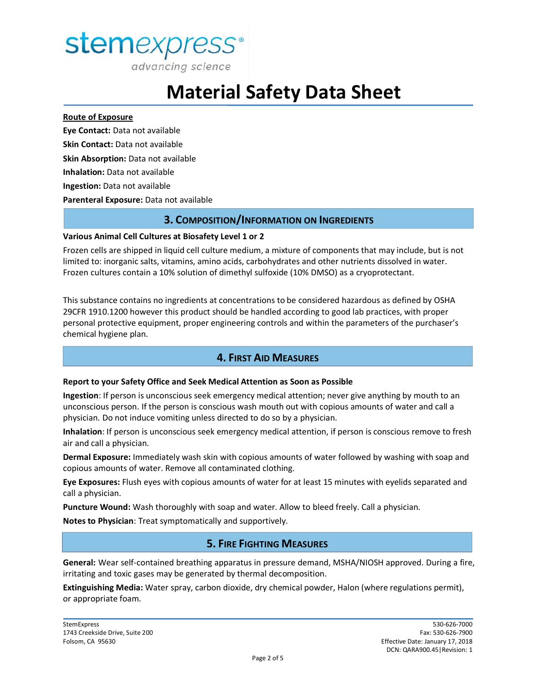

advancing science

# **Material Safety Data Sheet**

#### **Route of Exposure**

**Eye Contact:** Data not available **Skin Contact:** Data not available **Skin Absorption:** Data not available **Inhalation:** Data not available **Ingestion:** Data not available **Parenteral Exposure:** Data not available

### **3. COMPOSITION/INFORMATION ON INGREDIENTS**

#### **Various Animal Cell Cultures at Biosafety Level 1 or 2**

Frozen cells are shipped in liquid cell culture medium, a mixture of components that may include, but is not limited to: inorganic salts, vitamins, amino acids, carbohydrates and other nutrients dissolved in water. Frozen cultures contain a 10% solution of dimethyl sulfoxide (10% DMSO) as a cryoprotectant.

This substance contains no ingredients at concentrations to be considered hazardous as defined by OSHA 29CFR 1910.1200 however this product should be handled according to good lab practices, with proper personal protective equipment, proper engineering controls and within the parameters of the purchaser's chemical hygiene plan.

# **4. FIRST AID MEASURES**

#### **Report to your Safety Office and Seek Medical Attention as Soon as Possible**

**Ingestion**: If person is unconscious seek emergency medical attention; never give anything by mouth to an unconscious person. If the person is conscious wash mouth out with copious amounts of water and call a physician. Do not induce vomiting unless directed to do so by a physician.

**Inhalation**: If person is unconscious seek emergency medical attention, if person is conscious remove to fresh air and call a physician.

**Dermal Exposure:** Immediately wash skin with copious amounts of water followed by washing with soap and copious amounts of water. Remove all contaminated clothing.

**Eye Exposures:** Flush eyes with copious amounts of water for at least 15 minutes with eyelids separated and call a physician.

**Puncture Wound:** Wash thoroughly with soap and water. Allow to bleed freely. Call a physician.

**Notes to Physician**: Treat symptomatically and supportively.

# **5. FIRE FIGHTING MEASURES**

**General:** Wear self-contained breathing apparatus in pressure demand, MSHA/NIOSH approved. During a fire, irritating and toxic gases may be generated by thermal decomposition.

**Extinguishing Media:** Water spray, carbon dioxide, dry chemical powder, Halon (where regulations permit), or appropriate foam.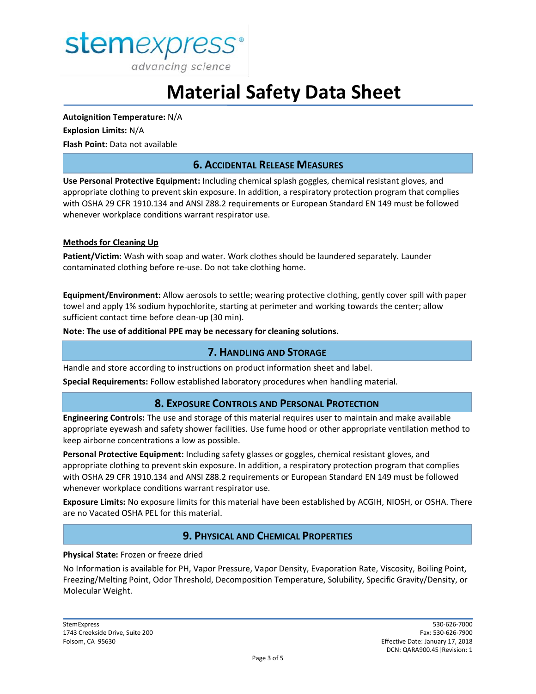

**Autoignition Temperature:** N/A **Explosion Limits:** N/A **Flash Point:** Data not available

## **6. ACCIDENTAL RELEASE MEASURES**

**Use Personal Protective Equipment:** Including chemical splash goggles, chemical resistant gloves, and appropriate clothing to prevent skin exposure. In addition, a respiratory protection program that complies with OSHA 29 CFR 1910.134 and ANSI Z88.2 requirements or European Standard EN 149 must be followed whenever workplace conditions warrant respirator use.

#### **Methods for Cleaning Up**

**Patient/Victim:** Wash with soap and water. Work clothes should be laundered separately. Launder contaminated clothing before re-use. Do not take clothing home.

**Equipment/Environment:** Allow aerosols to settle; wearing protective clothing, gently cover spill with paper towel and apply 1% sodium hypochlorite, starting at perimeter and working towards the center; allow sufficient contact time before clean-up (30 min).

**Note: The use of additional PPE may be necessary for cleaning solutions.**

#### **7. HANDLING AND STORAGE**

Handle and store according to instructions on product information sheet and label.

**Special Requirements:** Follow established laboratory procedures when handling material.

#### **8. EXPOSURE CONTROLS AND PERSONAL PROTECTION**

**Engineering Controls:** The use and storage of this material requires user to maintain and make available appropriate eyewash and safety shower facilities. Use fume hood or other appropriate ventilation method to keep airborne concentrations a low as possible.

**Personal Protective Equipment:** Including safety glasses or goggles, chemical resistant gloves, and appropriate clothing to prevent skin exposure. In addition, a respiratory protection program that complies with OSHA 29 CFR 1910.134 and ANSI Z88.2 requirements or European Standard EN 149 must be followed whenever workplace conditions warrant respirator use.

**Exposure Limits:** No exposure limits for this material have been established by ACGIH, NIOSH, or OSHA. There are no Vacated OSHA PEL for this material.

### **9. PHYSICAL AND CHEMICAL PROPERTIES**

#### **Physical State:** Frozen or freeze dried

No Information is available for PH, Vapor Pressure, Vapor Density, Evaporation Rate, Viscosity, Boiling Point, Freezing/Melting Point, Odor Threshold, Decomposition Temperature, Solubility, Specific Gravity/Density, or Molecular Weight.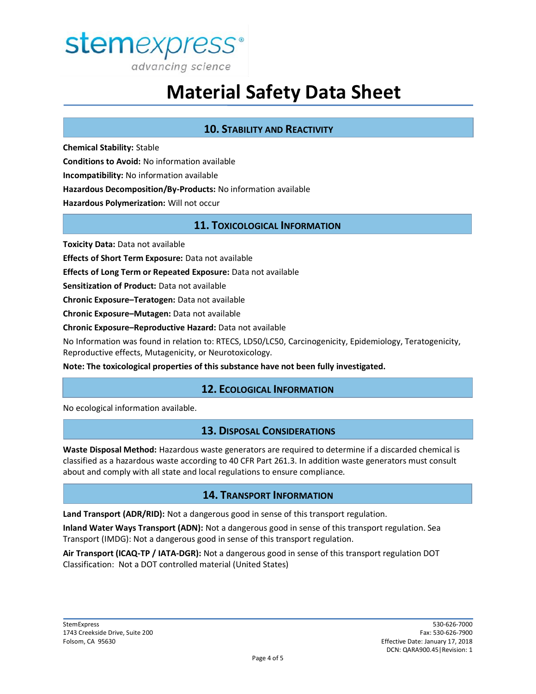

## **10. STABILITY AND REACTIVITY**

**Chemical Stability:** Stable **Conditions to Avoid:** No information available **Incompatibility:** No information available **Hazardous Decomposition/By-Products:** No information available **Hazardous Polymerization:** Will not occur

## **11. TOXICOLOGICAL INFORMATION**

**Toxicity Data:** Data not available

**Effects of Short Term Exposure:** Data not available

**Effects of Long Term or Repeated Exposure:** Data not available

**Sensitization of Product:** Data not available

**Chronic Exposure–Teratogen:** Data not available

**Chronic Exposure–Mutagen:** Data not available

**Chronic Exposure–Reproductive Hazard:** Data not available

No Information was found in relation to: RTECS, LD50/LC50, Carcinogenicity, Epidemiology, Teratogenicity, Reproductive effects, Mutagenicity, or Neurotoxicology.

**Note: The toxicological properties of this substance have not been fully investigated.**

#### **12. ECOLOGICAL INFORMATION**

No ecological information available.

#### **13. DISPOSAL CONSIDERATIONS**

**Waste Disposal Method:** Hazardous waste generators are required to determine if a discarded chemical is classified as a hazardous waste according to 40 CFR Part 261.3. In addition waste generators must consult about and comply with all state and local regulations to ensure compliance.

#### **14. TRANSPORT INFORMATION**

**Land Transport (ADR/RID):** Not a dangerous good in sense of this transport regulation.

**Inland Water Ways Transport (ADN):** Not a dangerous good in sense of this transport regulation. Sea Transport (IMDG): Not a dangerous good in sense of this transport regulation.

**Air Transport (ICAQ-TP / IATA-DGR):** Not a dangerous good in sense of this transport regulation DOT Classification: Not a DOT controlled material (United States)